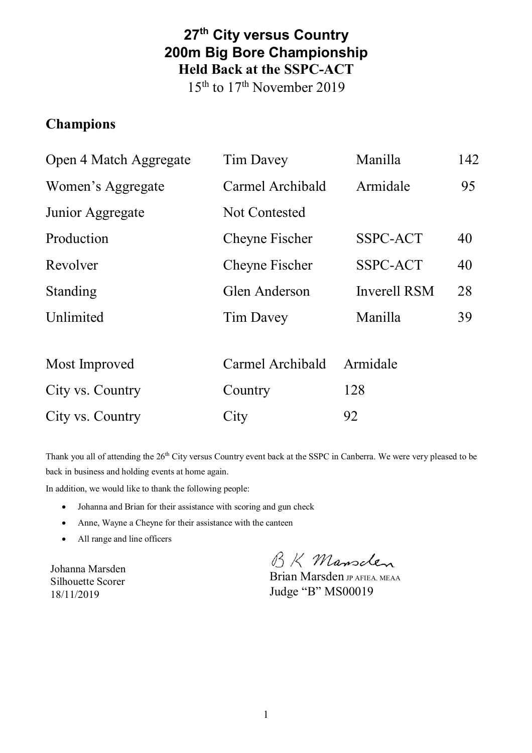## **27th City versus Country 200m Big Bore Championship Held Back at the SSPC-ACT**

15th to 17th November 2019

#### **Champions**

| Open 4 Match Aggregate | <b>Tim Davey</b>     | Manilla             | 142 |
|------------------------|----------------------|---------------------|-----|
| Women's Aggregate      | Carmel Archibald     | Armidale            | 95  |
| Junior Aggregate       | <b>Not Contested</b> |                     |     |
| Production             | Cheyne Fischer       | SSPC-ACT            | 40  |
| Revolver               | Cheyne Fischer       | SSPC-ACT            | 40  |
| Standing               | Glen Anderson        | <b>Inverell RSM</b> | 28  |
| Unlimited              | <b>Tim Davey</b>     | Manilla             | 39  |
|                        |                      |                     |     |
| Most Improved          | Carmel Archibald     | Armidale            |     |
| City vs. Country       | Country              | 128                 |     |
| City vs. Country       | City                 | 92                  |     |

Thank you all of attending the 26<sup>th</sup> City versus Country event back at the SSPC in Canberra. We were very pleased to be back in business and holding events at home again.

In addition, we would like to thank the following people:

- Johanna and Brian for their assistance with scoring and gun check
- Anne, Wayne a Cheyne for their assistance with the canteen
- All range and line officers

Johanna Marsden Silhouette Scorer 18/11/2019

BK Mansclen

Brian Marsden JP AFIEA. MEAA Judge "B" MS00019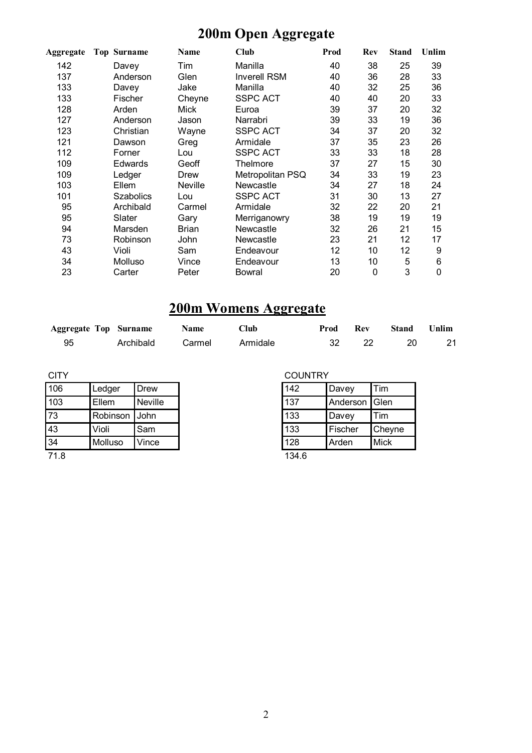# **200m Open Aggregate**

| Aggregate | <b>Top Surname</b> | Name    | Club                | Prod | Rev | <b>Stand</b> | Unlim |
|-----------|--------------------|---------|---------------------|------|-----|--------------|-------|
| 142       | Davey              | Tim     | Manilla             | 40   | 38  | 25           | 39    |
| 137       | Anderson           | Glen    | <b>Inverell RSM</b> | 40   | 36  | 28           | 33    |
| 133       | Davey              | Jake    | Manilla             | 40   | 32  | 25           | 36    |
| 133       | Fischer            | Cheyne  | <b>SSPC ACT</b>     | 40   | 40  | 20           | 33    |
| 128       | Arden              | Mick    | Euroa               | 39   | 37  | 20           | 32    |
| 127       | Anderson           | Jason   | Narrabri            | 39   | 33  | 19           | 36    |
| 123       | Christian          | Wayne   | <b>SSPC ACT</b>     | 34   | 37  | 20           | 32    |
| 121       | Dawson             | Greg    | Armidale            | 37   | 35  | 23           | 26    |
| 112       | Forner             | Lou     | <b>SSPC ACT</b>     | 33   | 33  | 18           | 28    |
| 109       | Edwards            | Geoff   | Thelmore            | 37   | 27  | 15           | 30    |
| 109       | Ledger             | Drew    | Metropolitan PSQ    | 34   | 33  | 19           | 23    |
| 103       | Ellem              | Neville | Newcastle           | 34   | 27  | 18           | 24    |
| 101       | <b>Szabolics</b>   | Lou     | <b>SSPC ACT</b>     | 31   | 30  | 13           | 27    |
| 95        | Archibald          | Carmel  | Armidale            | 32   | 22  | 20           | 21    |
| 95        | Slater             | Gary    | Merriganowry        | 38   | 19  | 19           | 19    |
| 94        | Marsden            | Brian   | Newcastle           | 32   | 26  | 21           | 15    |
| 73        | Robinson           | John    | Newcastle           | 23   | 21  | 12           | 17    |
| 43        | Violi              | Sam     | Endeavour           | 12   | 10  | 12           | 9     |
| 34        | Molluso            | Vince   | Endeavour           | 13   | 10  | 5            | 6     |
| 23        | Carter             | Peter   | Bowral              | 20   | 0   | 3            | 0     |

### **200m Womens Aggregate**

| <b>Aggregate Top Surname</b> |           | <b>Name</b> | Club     | Prod | Rev  | Stand | Unlim |
|------------------------------|-----------|-------------|----------|------|------|-------|-------|
| 95                           | Archibald | Carmel      | Armidale |      | - 22 | - 20  | 21    |

| CITY |          |         |
|------|----------|---------|
| 106  | Ledger   | Drew    |
| 103  | Ellem    | Neville |
| 73   | Robinson | John    |
| 43   | Violi    | Sam     |
| 34   | Molluso  | Vince   |
| 71   |          |         |

71.8

#### COUNTRY

| 142 | Davey    | Tim         |
|-----|----------|-------------|
| 137 | Anderson | Glen        |
| 133 | Davey    | Tim         |
| 133 | Fischer  | Cheyne      |
| 128 | Arden    | <b>Mick</b> |

134.6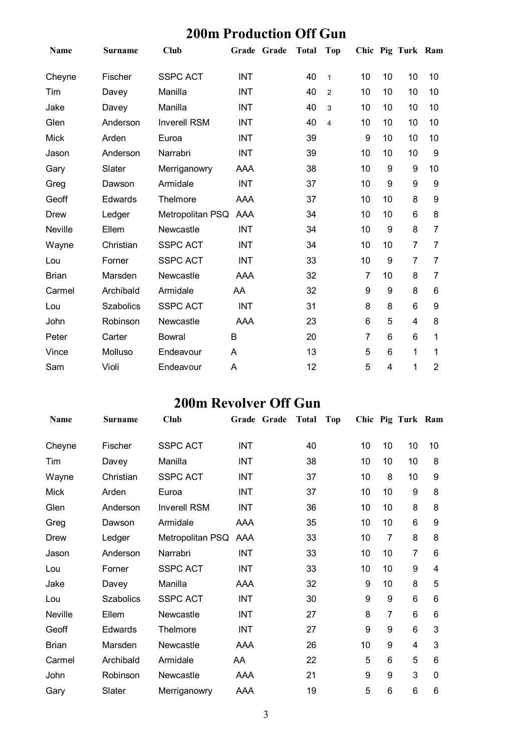### **200m Production Off Gun**

| <b>Name</b>    | <b>Surname</b>   | <b>Club</b>         |            | Grade Grade | <b>Total</b> | <b>Top</b>     |    |    | Chic Pig Turk Ram |                |
|----------------|------------------|---------------------|------------|-------------|--------------|----------------|----|----|-------------------|----------------|
| Cheyne         | Fischer          | <b>SSPC ACT</b>     | <b>INT</b> |             | 40           | $\mathbf{1}$   | 10 | 10 | 10                | 10             |
| Tim            | Davey            | Manilla             | <b>INT</b> |             | 40           | $\overline{2}$ | 10 | 10 | 10                | 10             |
| Jake           | Davey            | Manilla             | <b>INT</b> |             | 40           | 3              | 10 | 10 | 10                | 10             |
| Glen           | Anderson         | <b>Inverell RSM</b> | INT        |             | 40           | 4              | 10 | 10 | 10                | 10             |
| <b>Mick</b>    | Arden            | Euroa               | INT        |             | 39           |                | 9  | 10 | 10                | 10             |
| Jason          | Anderson         | Narrabri            | <b>INT</b> |             | 39           |                | 10 | 10 | 10                | 9              |
| Gary           | Slater           | Merriganowry        | AAA        |             | 38           |                | 10 | 9  | 9                 | 10             |
| Greg           | Dawson           | Armidale            | <b>INT</b> |             | 37           |                | 10 | 9  | 9                 | 9              |
| Geoff          | Edwards          | Thelmore            | AAA        |             | 37           |                | 10 | 10 | 8                 | 9              |
| Drew           | Ledger           | Metropolitan PSQ    | AAA        |             | 34           |                | 10 | 10 | 6                 | 8              |
| <b>Neville</b> | Ellem            | Newcastle           | <b>INT</b> |             | 34           |                | 10 | 9  | 8                 | 7              |
| Wayne          | Christian        | <b>SSPC ACT</b>     | <b>INT</b> |             | 34           |                | 10 | 10 | 7                 | 7              |
| Lou            | Forner           | <b>SSPC ACT</b>     | <b>INT</b> |             | 33           |                | 10 | 9  | 7                 | 7              |
| <b>Brian</b>   | Marsden          | Newcastle           | AAA        |             | 32           |                | 7  | 10 | 8                 | 7              |
| Carmel         | Archibald        | Armidale            | AA         |             | 32           |                | 9  | 9  | 8                 | 6              |
| Lou            | <b>Szabolics</b> | <b>SSPC ACT</b>     | <b>INT</b> |             | 31           |                | 8  | 8  | 6                 | 9              |
| John           | Robinson         | Newcastle           | AAA        |             | 23           |                | 6  | 5  | 4                 | 8              |
| Peter          | Carter           | <b>Bowral</b>       | B          |             | 20           |                | 7  | 6  | 6                 | 1              |
| Vince          | Molluso          | Endeavour           | A          |             | 13           |                | 5  | 6  | 1                 | 1              |
| Sam            | Violi            | Endeavour           | A          |             | 12           |                | 5  | 4  | 1                 | $\overline{2}$ |

### **200m Revolver Off Gun**

|                  | <b>Club</b>         |            |                  |    | Top                         |    |                |    |                   |
|------------------|---------------------|------------|------------------|----|-----------------------------|----|----------------|----|-------------------|
| Fischer          | <b>SSPC ACT</b>     | <b>INT</b> |                  | 40 |                             | 10 | 10             | 10 | 10                |
| Davey            | Manilla             | <b>INT</b> |                  | 38 |                             | 10 | 10             | 10 | 8                 |
| Christian        | <b>SSPC ACT</b>     | <b>INT</b> |                  | 37 |                             | 10 | 8              | 10 | 9                 |
| Arden            | Euroa               | <b>INT</b> |                  | 37 |                             | 10 | 10             | 9  | 8                 |
| Anderson         | <b>Inverell RSM</b> | <b>INT</b> |                  | 36 |                             | 10 | 10             | 8  | 8                 |
| Dawson           | Armidale            | AAA        |                  | 35 |                             | 10 | 10             | 6  | 9                 |
| Ledger           |                     | AAA        |                  | 33 |                             | 10 | 7              | 8  | 8                 |
| Anderson         | Narrabri            | <b>INT</b> |                  | 33 |                             | 10 | 10             | 7  | 6                 |
| Forner           | <b>SSPC ACT</b>     | <b>INT</b> |                  | 33 |                             | 10 | 10             | 9  | 4                 |
| Davey            | Manilla             | AAA        |                  | 32 |                             | 9  | 10             | 8  | 5                 |
| <b>Szabolics</b> | <b>SSPC ACT</b>     | <b>INT</b> |                  | 30 |                             | 9  | 9              | 6  | 6                 |
| Ellem            | Newcastle           | <b>INT</b> |                  | 27 |                             | 8  | $\overline{7}$ | 6  | 6                 |
| Edwards          | Thelmore            | INT        |                  | 27 |                             | 9  | 9              | 6  | 3                 |
| Marsden          | Newcastle           | AAA        |                  | 26 |                             | 10 | 9              | 4  | 3                 |
| Archibald        | Armidale            | AA         |                  | 22 |                             | 5  | 6              | 5  | 6                 |
| Robinson         | Newcastle           | AAA        |                  | 21 |                             | 9  | 9              | 3  | 0                 |
| Slater           | Merriganowry        | AAA        |                  | 19 |                             | 5  | 6              | 6  | 6                 |
|                  | <b>Surname</b>      |            | Metropolitan PSQ |    | Grade Grade<br><b>Total</b> |    |                |    | Chic Pig Turk Ram |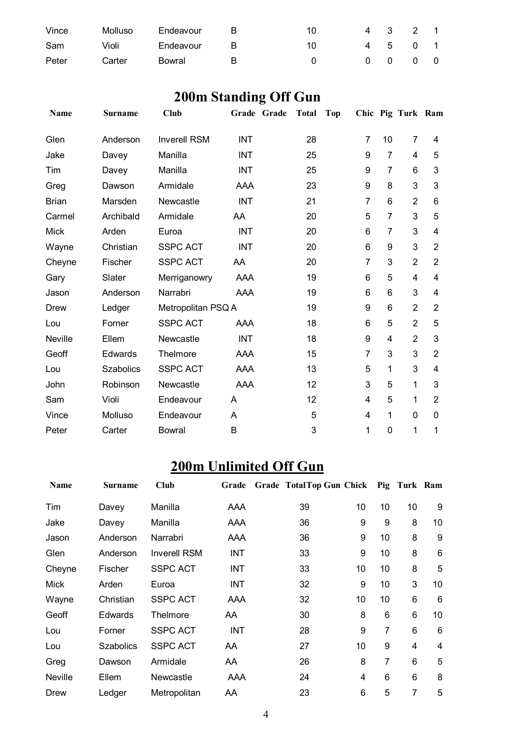| Vince | Molluso | Endeavour | R. | 10 | 4 3 2 1                  |  |
|-------|---------|-----------|----|----|--------------------------|--|
| Sam   | Violi   | Endeavour | R  | 10 | 4 5 0 1                  |  |
| Peter | Carter  | Bowral    | R  |    | $0\quad 0\quad 0\quad 0$ |  |

# **200m Standing Off Gun**

| <b>Name</b>  | <b>Surname</b>   | <b>Club</b>         |            | Grade Grade | Total | <b>Top</b> |                |                 | Chic Pig Turk Ram |                |
|--------------|------------------|---------------------|------------|-------------|-------|------------|----------------|-----------------|-------------------|----------------|
| Glen         | Anderson         | <b>Inverell RSM</b> | <b>INT</b> |             | 28    |            | $\overline{7}$ | 10              | $\overline{7}$    | 4              |
| Jake         | Davey            | Manilla             | <b>INT</b> |             | 25    |            | 9              | $\overline{7}$  | $\overline{4}$    | 5              |
| Tim          | Davey            | Manilla             | <b>INT</b> |             | 25    |            | 9              | $\overline{7}$  | 6                 | 3              |
| Greg         | Dawson           | Armidale            | AAA        |             | 23    |            | 9              | 8               | 3                 | 3              |
| <b>Brian</b> | Marsden          | Newcastle           | <b>INT</b> |             | 21    |            | $\overline{7}$ | 6               | $\overline{2}$    | 6              |
| Carmel       | Archibald        | Armidale            | AA         |             | 20    |            | 5              | $\overline{7}$  | 3                 | 5              |
| <b>Mick</b>  | Arden            | Euroa               | <b>INT</b> |             | 20    |            | 6              | $\overline{7}$  | 3                 | 4              |
| Wayne        | Christian        | <b>SSPC ACT</b>     | <b>INT</b> |             | 20    |            | 6              | 9               | 3                 | $\overline{2}$ |
| Cheyne       | Fischer          | <b>SSPC ACT</b>     | AA         |             | 20    |            | $\overline{7}$ | 3               | $\overline{2}$    | $\overline{2}$ |
| Gary         | Slater           | Merriganowry        | AAA        |             | 19    |            | 6              | 5               | 4                 | 4              |
| Jason        | Anderson         | Narrabri            | AAA        |             | 19    |            | 6              | $6\phantom{1}6$ | 3                 | 4              |
| Drew         | Ledger           | Metropolitan PSQ A  |            |             | 19    |            | 9              | 6               | $\overline{2}$    | $\overline{2}$ |
| Lou          | Forner           | <b>SSPC ACT</b>     | AAA        |             | 18    |            | 6              | 5               | $\overline{2}$    | 5              |
| Neville      | Ellem            | Newcastle           | <b>INT</b> |             | 18    |            | 9              | 4               | $\overline{2}$    | 3              |
| Geoff        | Edwards          | Thelmore            | AAA        |             | 15    |            | $\overline{7}$ | 3               | 3                 | $\overline{2}$ |
| Lou          | <b>Szabolics</b> | <b>SSPC ACT</b>     | AAA        |             | 13    |            | 5              | 1               | 3                 | 4              |
| John         | Robinson         | Newcastle           | AAA        |             | 12    |            | 3              | 5               | 1                 | 3              |
| Sam          | Violi            | Endeavour           | A          |             | 12    |            | 4              | 5               | 1                 | $\overline{2}$ |
| Vince        | Molluso          | Endeavour           | A          |             | 5     |            | 4              | 1               | $\mathbf 0$       | $\mathbf{0}$   |
| Peter        | Carter           | <b>Bowral</b>       | B          |             | 3     |            | 1              | $\mathbf 0$     | 1                 | 1              |

# **200m Unlimited Off Gun**

| Name           | Surname          | Club                | Grade      | Grade TotalTop Gun Chick Pig Turk Ram |                |    |    |    |
|----------------|------------------|---------------------|------------|---------------------------------------|----------------|----|----|----|
| Tim            | Davey            | Manilla             | AAA        | 39                                    | 10             | 10 | 10 | 9  |
| Jake           | Davey            | Manilla             | AAA        | 36                                    | 9              | 9  | 8  | 10 |
| Jason          | Anderson         | Narrabri            | AAA        | 36                                    | 9              | 10 | 8  | 9  |
| Glen           | Anderson         | <b>Inverell RSM</b> | INT        | 33                                    | 9              | 10 | 8  | 6  |
| Cheyne         | Fischer          | <b>SSPC ACT</b>     | <b>INT</b> | 33                                    | 10             | 10 | 8  | 5  |
| Mick           | Arden            | Euroa               | <b>INT</b> | 32                                    | 9              | 10 | 3  | 10 |
| Wayne          | Christian        | <b>SSPC ACT</b>     | AAA        | 32                                    | 10             | 10 | 6  | 6  |
| Geoff          | <b>Edwards</b>   | Thelmore            | AA         | 30                                    | 8              | 6  | 6  | 10 |
| Lou            | Forner           | <b>SSPC ACT</b>     | <b>INT</b> | 28                                    | 9              | 7  | 6  | 6  |
| Lou            | <b>Szabolics</b> | <b>SSPC ACT</b>     | AA         | 27                                    | 10             | 9  | 4  | 4  |
| Greg           | Dawson           | Armidale            | AA         | 26                                    | 8              | 7  | 6  | 5  |
| <b>Neville</b> | Ellem            | Newcastle           | AAA        | 24                                    | $\overline{4}$ | 6  | 6  | 8  |
| Drew           | Ledger           | Metropolitan        | AA         | 23                                    | 6              | 5  | 7  | 5  |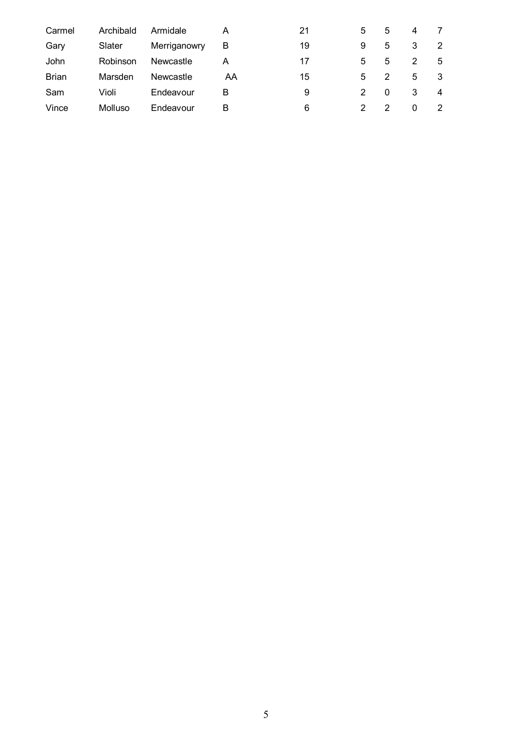| Carmel       | Archibald | Armidale     | Α  | 21 | 5 | 5 | 4 |   |
|--------------|-----------|--------------|----|----|---|---|---|---|
| Gary         | Slater    | Merriganowry | B  | 19 | 9 | 5 | 3 | 2 |
| John         | Robinson  | Newcastle    | А  | 17 | 5 | 5 | 2 | 5 |
| <b>Brian</b> | Marsden   | Newcastle    | AA | 15 | 5 | 2 | 5 | 3 |
| Sam          | Violi     | Endeavour    | В  | 9  |   |   | 3 | 4 |
| Vince        | Molluso   | Endeavour    | В  | 6  |   |   | 0 | 2 |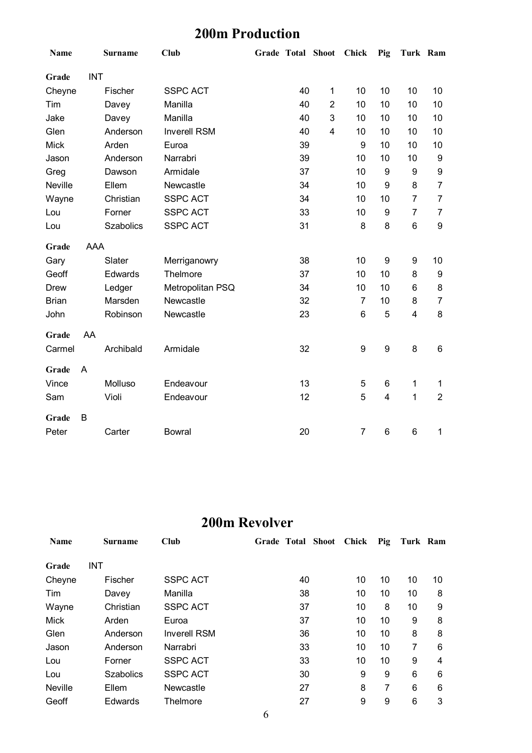#### **200m Production**

| <b>Name</b>    |            | <b>Surname</b> | <b>Club</b>         | <b>Grade Total Shoot</b> |    |                         | <b>Chick</b>   | Pig              | Turk Ram                |                  |
|----------------|------------|----------------|---------------------|--------------------------|----|-------------------------|----------------|------------------|-------------------------|------------------|
| Grade          | <b>INT</b> |                |                     |                          |    |                         |                |                  |                         |                  |
| Cheyne         |            | Fischer        | <b>SSPC ACT</b>     |                          | 40 | 1                       | 10             | 10               | 10                      | 10               |
| Tim            |            | Davey          | Manilla             |                          | 40 | $\overline{2}$          | 10             | 10               | 10                      | 10               |
| Jake           |            | Davey          | Manilla             |                          | 40 | 3                       | 10             | 10               | 10                      | 10               |
| Glen           |            | Anderson       | <b>Inverell RSM</b> |                          | 40 | $\overline{\mathbf{4}}$ | 10             | 10               | 10                      | 10               |
| <b>Mick</b>    |            | Arden          | Euroa               |                          | 39 |                         | 9              | 10               | 10                      | 10               |
| Jason          |            | Anderson       | Narrabri            |                          | 39 |                         | 10             | 10               | 10                      | 9                |
| Greg           |            | Dawson         | Armidale            |                          | 37 |                         | 10             | 9                | $\boldsymbol{9}$        | 9                |
| <b>Neville</b> |            | Ellem          | Newcastle           |                          | 34 |                         | 10             | 9                | 8                       | $\overline{7}$   |
| Wayne          |            | Christian      | <b>SSPC ACT</b>     |                          | 34 |                         | 10             | 10               | $\overline{7}$          | $\overline{7}$   |
| Lou            |            | Forner         | <b>SSPC ACT</b>     |                          | 33 |                         | 10             | 9                | $\overline{7}$          | $\overline{7}$   |
| Lou            |            | Szabolics      | <b>SSPC ACT</b>     |                          | 31 |                         | 8              | 8                | $\,6\,$                 | $\boldsymbol{9}$ |
| Grade          | AAA        |                |                     |                          |    |                         |                |                  |                         |                  |
| Gary           |            | Slater         | Merriganowry        |                          | 38 |                         | 10             | 9                | 9                       | 10               |
| Geoff          |            | Edwards        | Thelmore            |                          | 37 |                         | 10             | 10               | 8                       | 9                |
| <b>Drew</b>    |            | Ledger         | Metropolitan PSQ    |                          | 34 |                         | 10             | 10               | 6                       | 8                |
| <b>Brian</b>   |            | Marsden        | Newcastle           |                          | 32 |                         | $\overline{7}$ | 10               | 8                       | $\overline{7}$   |
| John           |            | Robinson       | Newcastle           |                          | 23 |                         | 6              | 5                | $\overline{\mathbf{4}}$ | 8                |
| Grade          | AA         |                |                     |                          |    |                         |                |                  |                         |                  |
| Carmel         |            | Archibald      | Armidale            |                          | 32 |                         | 9              | $\boldsymbol{9}$ | 8                       | 6                |
| Grade          | A          |                |                     |                          |    |                         |                |                  |                         |                  |
| Vince          |            | Molluso        | Endeavour           |                          | 13 |                         | 5              | 6                | 1                       | 1                |
| Sam            |            | Violi          | Endeavour           |                          | 12 |                         | 5              | $\overline{4}$   | $\mathbf{1}$            | $\overline{2}$   |
| Grade          | B          |                |                     |                          |    |                         |                |                  |                         |                  |
| Peter          |            | Carter         | <b>Bowral</b>       |                          | 20 |                         | $\overline{7}$ | $\,6$            | $\,6$                   | 1                |

#### **200m Revolver**

| <b>Name</b> | <b>Surname</b>   | Club                | Grade Total Shoot | Chick | Pig | Turk Ram |    |
|-------------|------------------|---------------------|-------------------|-------|-----|----------|----|
| Grade       | INT              |                     |                   |       |     |          |    |
| Cheyne      | Fischer          | <b>SSPC ACT</b>     | 40                | 10    | 10  | 10       | 10 |
| Tim         | Davey            | Manilla             | 38                | 10    | 10  | 10       | 8  |
| Wayne       | Christian        | <b>SSPC ACT</b>     | 37                | 10    | 8   | 10       | 9  |
| <b>Mick</b> | Arden            | Euroa               | 37                | 10    | 10  | 9        | 8  |
| Glen        | Anderson         | <b>Inverell RSM</b> | 36                | 10    | 10  | 8        | 8  |
| Jason       | Anderson         | Narrabri            | 33                | 10    | 10  | 7        | 6  |
| Lou         | Forner           | <b>SSPC ACT</b>     | 33                | 10    | 10  | 9        | 4  |
| Lou         | <b>Szabolics</b> | <b>SSPC ACT</b>     | 30                | 9     | 9   | 6        | 6  |
| Neville     | Ellem            | Newcastle           | 27                | 8     | 7   | 6        | 6  |
| Geoff       | Edwards          | Thelmore            | 27                | 9     | 9   | 6        | 3  |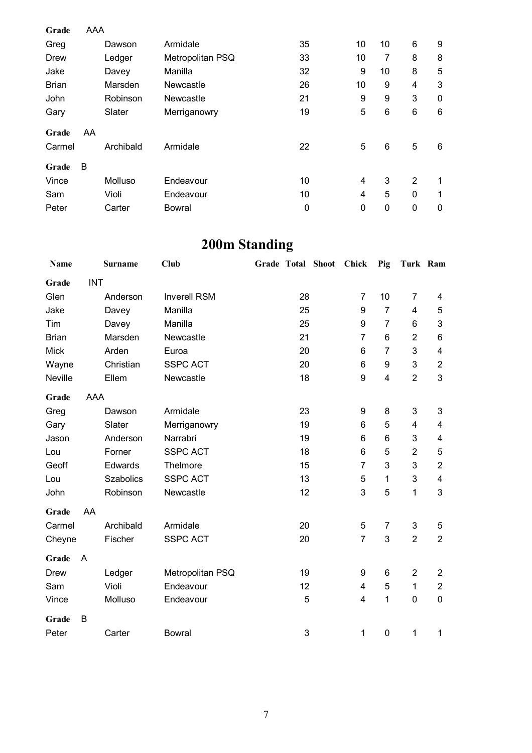| Grade        | AAA |           |                  |    |             |    |          |   |
|--------------|-----|-----------|------------------|----|-------------|----|----------|---|
| Greg         |     | Dawson    | Armidale         | 35 | 10          | 10 | 6        | 9 |
| Drew         |     | Ledger    | Metropolitan PSQ | 33 | 10          | 7  | 8        | 8 |
| Jake         |     | Davey     | Manilla          | 32 | 9           | 10 | 8        | 5 |
| <b>Brian</b> |     | Marsden   | Newcastle        | 26 | 10          | 9  | 4        | 3 |
| John         |     | Robinson  | Newcastle        | 21 | 9           | 9  | 3        | 0 |
| Gary         |     | Slater    | Merriganowry     | 19 | 5           | 6  | 6        | 6 |
| Grade        | AA  |           |                  |    |             |    |          |   |
| Carmel       |     | Archibald | Armidale         | 22 | $\mathbf 5$ | 6  | 5        | 6 |
| Grade        | B   |           |                  |    |             |    |          |   |
| Vince        |     | Molluso   | Endeavour        | 10 | 4           | 3  | 2        | 1 |
| Sam          |     | Violi     | Endeavour        | 10 | 4           | 5  | $\Omega$ | 1 |
| Peter        |     | Carter    | Bowral           | 0  | $\mathbf 0$ | 0  | 0        | 0 |

# **200m Standing**

| Name         |            | <b>Surname</b>   | <b>Club</b>         |                                    |    | Grade Total Shoot Chick |                | Pig                     | Turk Ram                |                         |
|--------------|------------|------------------|---------------------|------------------------------------|----|-------------------------|----------------|-------------------------|-------------------------|-------------------------|
| Grade        | <b>INT</b> |                  |                     |                                    |    |                         |                |                         |                         |                         |
| Glen         |            | Anderson         | <b>Inverell RSM</b> |                                    | 28 |                         | 7              | 10                      | $\overline{7}$          | 4                       |
| Jake         |            | Davey            | Manilla             |                                    | 25 |                         | 9              | $\overline{7}$          | 4                       | 5                       |
| Tim          |            | Davey            | Manilla             |                                    | 25 |                         | 9              | $\overline{7}$          | 6                       | 3                       |
| <b>Brian</b> |            | Marsden          | Newcastle           |                                    | 21 |                         | $\overline{7}$ | 6                       | $\overline{2}$          | 6                       |
| <b>Mick</b>  |            | Arden            | Euroa               |                                    | 20 |                         | 6              | $\overline{7}$          | 3                       | $\overline{\mathbf{4}}$ |
| Wayne        |            | Christian        | <b>SSPC ACT</b>     |                                    | 20 |                         | 6              | 9                       | 3                       | $\boldsymbol{2}$        |
| Neville      |            | Ellem            | Newcastle           |                                    | 18 |                         | 9              | $\overline{\mathbf{4}}$ | $\overline{2}$          | 3                       |
| Grade        | AAA        |                  |                     |                                    |    |                         |                |                         |                         |                         |
| Greg         |            | Dawson           | Armidale            |                                    | 23 |                         | 9              | 8                       | 3                       | $\mathbf{3}$            |
| Gary         |            | Slater           | Merriganowry        |                                    |    |                         | 6              | 5                       | $\overline{\mathbf{4}}$ | $\overline{\mathbf{4}}$ |
| Jason        |            | Anderson         | Narrabri            | 19<br>19<br>6<br>6<br>18<br>6<br>5 |    |                         |                | 3                       | 4                       |                         |
| Lou          |            | Forner           | <b>SSPC ACT</b>     |                                    |    |                         |                |                         | $\overline{2}$          | $\mathbf 5$             |
| Geoff        |            | Edwards          | Thelmore            |                                    | 15 |                         | $\overline{7}$ | 3                       | 3                       | $\overline{2}$          |
| Lou          |            | <b>Szabolics</b> | <b>SSPC ACT</b>     |                                    | 13 |                         | 5              | 1                       | 3                       | 4                       |
| John         |            | Robinson         | Newcastle           |                                    | 12 |                         | 3              | 5                       | 1                       | 3                       |
| Grade        | AA         |                  |                     |                                    |    |                         |                |                         |                         |                         |
| Carmel       |            | Archibald        | Armidale            |                                    | 20 |                         | 5              | $\overline{7}$          | 3                       | 5                       |
| Cheyne       |            | Fischer          | <b>SSPC ACT</b>     |                                    | 20 |                         | $\overline{7}$ | 3                       | $\overline{2}$          | $\overline{2}$          |
| Grade        | A          |                  |                     |                                    |    |                         |                |                         |                         |                         |
| <b>Drew</b>  |            | Ledger           | Metropolitan PSQ    |                                    | 19 |                         | 9              | 6                       | $\overline{2}$          | $\mathbf{2}$            |
| Sam          |            | Violi            | Endeavour           |                                    | 12 |                         | 4              | 5                       | $\mathbf 1$             | $\overline{2}$          |
| Vince        |            | Molluso          | Endeavour           |                                    | 5  |                         | 4              | 1                       | 0                       | $\mathbf 0$             |
| Grade        | B          |                  |                     |                                    |    |                         |                |                         |                         |                         |
| Peter        |            | Carter           | <b>Bowral</b>       |                                    | 3  |                         | 1              | $\mathbf 0$             | 1                       | 1                       |